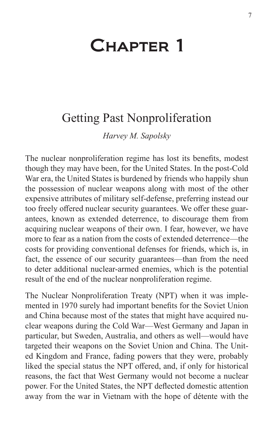# Chapter 1

# Getting Past Nonproliferation

*Harvey M. Sapolsky*

The nuclear nonproliferation regime has lost its benefits, modest though they may have been, for the United States. In the post-Cold War era, the United States is burdened by friends who happily shun the possession of nuclear weapons along with most of the other expensive attributes of military self-defense, preferring instead our too freely offered nuclear security guarantees. We offer these guarantees, known as extended deterrence, to discourage them from acquiring nuclear weapons of their own. I fear, however, we have more to fear as a nation from the costs of extended deterrence—the costs for providing conventional defenses for friends, which is, in fact, the essence of our security guarantees—than from the need to deter additional nuclear-armed enemies, which is the potential result of the end of the nuclear nonproliferation regime.

The Nuclear Nonproliferation Treaty (NPT) when it was implemented in 1970 surely had important benefits for the Soviet Union and China because most of the states that might have acquired nuclear weapons during the Cold War—West Germany and Japan in particular, but Sweden, Australia, and others as well—would have targeted their weapons on the Soviet Union and China. The United Kingdom and France, fading powers that they were, probably liked the special status the NPT offered, and, if only for historical reasons, the fact that West Germany would not become a nuclear power. For the United States, the NPT deflected domestic attention away from the war in Vietnam with the hope of détente with the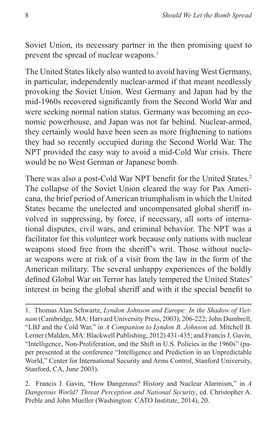Soviet Union, its necessary partner in the then promising quest to prevent the spread of nuclear weapons.<sup>1</sup>

The United States likely also wanted to avoid having West Germany, in particular, independently nuclear-armed if that meant needlessly provoking the Soviet Union. West Germany and Japan had by the mid-1960s recovered significantly from the Second World War and were seeking normal nation status. Germany was becoming an economic powerhouse, and Japan was not far behind. Nuclear-armed, they certainly would have been seen as more frightening to nations they had so recently occupied during the Second World War. The NPT provided the easy way to avoid a mid-Cold War crisis. There would be no West German or Japanese bomb.

There was also a post-Cold War NPT benefit for the United States.<sup>2</sup> The collapse of the Soviet Union cleared the way for Pax Americana, the brief period of American triumphalism in which the United States became the unelected and uncompensated global sheriff involved in suppressing, by force, if necessary, all sorts of international disputes, civil wars, and criminal behavior. The NPT was a facilitator for this volunteer work because only nations with nuclear weapons stood free from the sheriff's writ. Those without nuclear weapons were at risk of a visit from the law in the form of the American military. The several unhappy experiences of the boldly defined Global War on Terror has lately tempered the United States' interest in being the global sheriff and with it the special benefit to

<sup>1.</sup> Thomas Alan Schwartz, *Lyndon Johnson and Europe: In the Shadow of Vietnam* (Cambridge, MA: Harvard University Press, 2003), 206-222; John Dumbrell, "LBJ and the Cold War," in *A Companion to Lyndon B. Johnson* ed. Mitchell B. Lerner (Malden, MA: Blackwell Publishing, 2012) 431-435; and Francis J. Gavin, "Intelligence, Non-Proliferation, and the Shift in U.S. Policies in the 1960s" (paper presented at the conference "Intelligence and Prediction in an Unpredictable World," Center for International Security and Arms Control, Stanford University, Stanford, CA, June 2003).

<sup>2.</sup> Francis J. Gavin, "How Dangerous? History and Nuclear Alarmism," in *A Dangerous World? Threat Perception and National Security*, ed. Christopher A. Preble and John Mueller (Washington: CATO Institute, 2014), 20.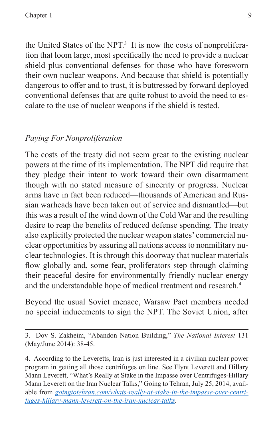the United States of the NPT.<sup>3</sup> It is now the costs of nonproliferation that loom large, most specifically the need to provide a nuclear shield plus conventional defenses for those who have foresworn their own nuclear weapons. And because that shield is potentially dangerous to offer and to trust, it is buttressed by forward deployed conventional defenses that are quite robust to avoid the need to escalate to the use of nuclear weapons if the shield is tested.

# *Paying For Nonproliferation*

The costs of the treaty did not seem great to the existing nuclear powers at the time of its implementation. The NPT did require that they pledge their intent to work toward their own disarmament though with no stated measure of sincerity or progress. Nuclear arms have in fact been reduced—thousands of American and Russian warheads have been taken out of service and dismantled—but this was a result of the wind down of the Cold War and the resulting desire to reap the benefits of reduced defense spending. The treaty also explicitly protected the nuclear weapon states' commercial nuclear opportunities by assuring all nations access to nonmilitary nuclear technologies. It is through this doorway that nuclear materials flow globally and, some fear, proliferators step through claiming their peaceful desire for environmentally friendly nuclear energy and the understandable hope of medical treatment and research.<sup>4</sup>

Beyond the usual Soviet menace, Warsaw Pact members needed no special inducements to sign the NPT. The Soviet Union, after

<sup>3.</sup> Dov S. Zakheim, "Abandon Nation Building," *The National Interest* 131 (May/June 2014): 38-45.

<sup>4.</sup> According to the Leveretts, Iran is just interested in a civilian nuclear power program in getting all those centrifuges on line. See Flynt Leverett and Hillary Mann Leverett, "What's Really at Stake in the Impasse over Centrifuges-Hillary Mann Leverett on the Iran Nuclear Talks," Going to Tehran, July 25, 2014, available from *[goingtotehran.com/whats-really-at-stake-in-the-impasse-over-centri](goingtotehran.com/whats-really-at-stake-in-the-impasse-over-centrifuges-hillary-mann-leverett-on-the-iran-nuclear-talks)[fuges-hillary-mann-leverett-on-the-iran-nuclear-talks](goingtotehran.com/whats-really-at-stake-in-the-impasse-over-centrifuges-hillary-mann-leverett-on-the-iran-nuclear-talks).*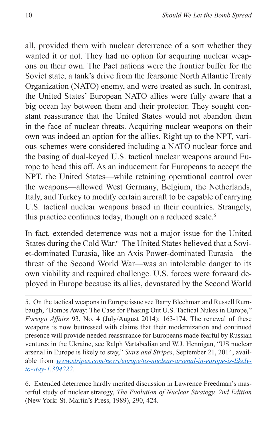all, provided them with nuclear deterrence of a sort whether they wanted it or not. They had no option for acquiring nuclear weapons on their own. The Pact nations were the frontier buffer for the Soviet state, a tank's drive from the fearsome North Atlantic Treaty Organization (NATO) enemy, and were treated as such. In contrast, the United States' European NATO allies were fully aware that a big ocean lay between them and their protector. They sought constant reassurance that the United States would not abandon them in the face of nuclear threats. Acquiring nuclear weapons on their own was indeed an option for the allies. Right up to the NPT, various schemes were considered including a NATO nuclear force and the basing of dual-keyed U.S. tactical nuclear weapons around Europe to head this off. As an inducement for Europeans to accept the NPT, the United States—while retaining operational control over the weapons—allowed West Germany, Belgium, the Netherlands, Italy, and Turkey to modify certain aircraft to be capable of carrying U.S. tactical nuclear weapons based in their countries. Strangely, this practice continues today, though on a reduced scale.<sup>5</sup>

In fact, extended deterrence was not a major issue for the United States during the Cold War.<sup>6</sup> The United States believed that a Soviet-dominated Eurasia, like an Axis Power-dominated Eurasia—the threat of the Second World War—was an intolerable danger to its own viability and required challenge. U.S. forces were forward deployed in Europe because its allies, devastated by the Second World

6. Extended deterrence hardly merited discussion in Lawrence Freedman's masterful study of nuclear strategy, *The Evolution of Nuclear Strategy, 2nd Edition*  (New York: St. Martin's Press, 1989), 290, 424.

<sup>5.</sup> On the tactical weapons in Europe issue see Barry Blechman and Russell Rumbaugh, "Bombs Away: The Case for Phasing Out U.S. Tactical Nukes in Europe," *Foreign Affairs* 93, No. 4 (July/August 2014): 163-174. The renewal of these weapons is now buttressed with claims that their modernization and continued presence will provide needed reassurance for Europeans made fearful by Russian ventures in the Ukraine, see Ralph Vartabedian and W.J. Hennigan, "US nuclear arsenal in Europe is likely to stay," *Stars and Stripes*, September 21, 2014, available from *[www.stripes.com/news/europe/us-nuclear-arsenal-in-europe-is-likely](www.stripes.com/news/europe/us-nuclear-arsenal-in-europe-is-likely-to-stay-1.304222)[to-stay-1.304222](www.stripes.com/news/europe/us-nuclear-arsenal-in-europe-is-likely-to-stay-1.304222).*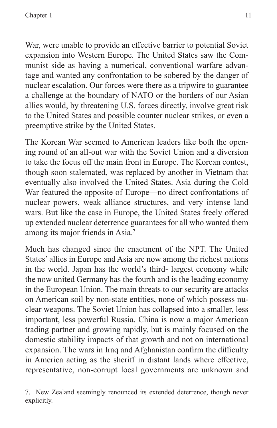War, were unable to provide an effective barrier to potential Soviet expansion into Western Europe. The United States saw the Communist side as having a numerical, conventional warfare advantage and wanted any confrontation to be sobered by the danger of nuclear escalation. Our forces were there as a tripwire to guarantee a challenge at the boundary of NATO or the borders of our Asian allies would, by threatening U.S. forces directly, involve great risk to the United States and possible counter nuclear strikes, or even a preemptive strike by the United States.

The Korean War seemed to American leaders like both the opening round of an all-out war with the Soviet Union and a diversion to take the focus off the main front in Europe. The Korean contest, though soon stalemated, was replaced by another in Vietnam that eventually also involved the United States. Asia during the Cold War featured the opposite of Europe—no direct confrontations of nuclear powers, weak alliance structures, and very intense land wars. But like the case in Europe, the United States freely offered up extended nuclear deterrence guarantees for all who wanted them among its major friends in Asia.<sup>7</sup>

Much has changed since the enactment of the NPT. The United States' allies in Europe and Asia are now among the richest nations in the world. Japan has the world's third- largest economy while the now united Germany has the fourth and is the leading economy in the European Union. The main threats to our security are attacks on American soil by non-state entities, none of which possess nuclear weapons. The Soviet Union has collapsed into a smaller, less important, less powerful Russia. China is now a major American trading partner and growing rapidly, but is mainly focused on the domestic stability impacts of that growth and not on international expansion. The wars in Iraq and Afghanistan confirm the difficulty in America acting as the sheriff in distant lands where effective, representative, non-corrupt local governments are unknown and

<sup>7.</sup> New Zealand seemingly renounced its extended deterrence, though never explicitly.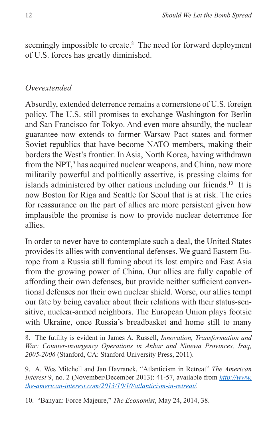seemingly impossible to create.<sup>8</sup> The need for forward deployment of U.S. forces has greatly diminished.

## *Overextended*

Absurdly, extended deterrence remains a cornerstone of U.S. foreign policy. The U.S. still promises to exchange Washington for Berlin and San Francisco for Tokyo. And even more absurdly, the nuclear guarantee now extends to former Warsaw Pact states and former Soviet republics that have become NATO members, making their borders the West's frontier. In Asia, North Korea, having withdrawn from the NPT,<sup>9</sup> has acquired nuclear weapons, and China, now more militarily powerful and politically assertive, is pressing claims for islands administered by other nations including our friends.<sup>10</sup> It is now Boston for Riga and Seattle for Seoul that is at risk. The cries for reassurance on the part of allies are more persistent given how implausible the promise is now to provide nuclear deterrence for allies.

In order to never have to contemplate such a deal, the United States provides its allies with conventional defenses. We guard Eastern Europe from a Russia still fuming about its lost empire and East Asia from the growing power of China. Our allies are fully capable of affording their own defenses, but provide neither sufficient conventional defenses nor their own nuclear shield. Worse, our allies tempt our fate by being cavalier about their relations with their status-sensitive, nuclear-armed neighbors. The European Union plays footsie with Ukraine, once Russia's breadbasket and home still to many

8. The futility is evident in James A. Russell, *Innovation, Transformation and War: Counter-insurgency Operations in Anbar and Ninewa Provinces, Iraq, 2005-2006* (Stanford, CA: Stanford University Press, 2011).

9. A. Wes Mitchell and Jan Havranek, "Atlanticism in Retreat" *The American Interest* 9, no. 2 (November/December 2013): 41-57, available from *[http://www.](http://www.the-american-interest.com/2013/10/10/atlanticism-in-retreat/) [the-american-interest.com/2013/10/10/atlanticism-in-retreat/.](http://www.the-american-interest.com/2013/10/10/atlanticism-in-retreat/)*

10. "Banyan: Force Majeure," *The Economist*, May 24, 2014, 38.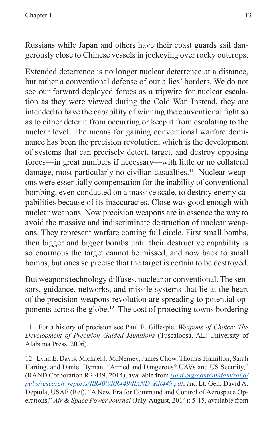Russians while Japan and others have their coast guards sail dangerously close to Chinese vessels in jockeying over rocky outcrops.

Extended deterrence is no longer nuclear deterrence at a distance, but rather a conventional defense of our allies' borders. We do not see our forward deployed forces as a tripwire for nuclear escalation as they were viewed during the Cold War. Instead, they are intended to have the capability of winning the conventional fight so as to either deter it from occurring or keep it from escalating to the nuclear level. The means for gaining conventional warfare dominance has been the precision revolution, which is the development of systems that can precisely detect, target, and destroy opposing forces—in great numbers if necessary—with little or no collateral damage, most particularly no civilian casualties.<sup>11</sup> Nuclear weapons were essentially compensation for the inability of conventional bombing, even conducted on a massive scale, to destroy enemy capabilities because of its inaccuracies. Close was good enough with nuclear weapons. Now precision weapons are in essence the way to avoid the massive and indiscriminate destruction of nuclear weapons. They represent warfare coming full circle. First small bombs, then bigger and bigger bombs until their destructive capability is so enormous the target cannot be missed, and now back to small bombs, but ones so precise that the target is certain to be destroyed.

But weapons technology diffuses, nuclear or conventional. The sensors, guidance, networks, and missile systems that lie at the heart of the precision weapons revolution are spreading to potential opponents across the globe.<sup>12</sup> The cost of protecting towns bordering

11. For a history of precision see Paul E. Gillespie, *Weapons of Choice: The Development of Precision Guided Munitions* (Tuscaloosa, AL: University of Alabama Press, 2006).

<sup>12.</sup> Lynn E. Davis, Michael J. McNerney, James Chow, Thomas Hamilton, Sarah Harting, and Daniel Byman, "Armed and Dangerous? UAVs and US Security," (RAND Corporation RR 449, 2014), available from *[rand.org/content/dam/rand/](rand.org/content/dam/rand/pubs/research_reports/RR400/RR449/RAND_RR449.pdf) [pubs/research\\_reports/RR400/RR449/RAND\\_RR449.pdf](rand.org/content/dam/rand/pubs/research_reports/RR400/RR449/RAND_RR449.pdf)*; and Lt. Gen. David A. Deptula, USAF (Ret), "A New Era for Command and Control of Aerospace Operations," *Air & Space Power Journal* (July-August, 2014): 5-15, available from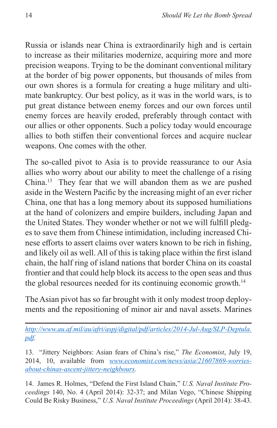Russia or islands near China is extraordinarily high and is certain to increase as their militaries modernize, acquiring more and more precision weapons. Trying to be the dominant conventional military at the border of big power opponents, but thousands of miles from our own shores is a formula for creating a huge military and ultimate bankruptcy. Our best policy, as it was in the world wars, is to put great distance between enemy forces and our own forces until enemy forces are heavily eroded, preferably through contact with our allies or other opponents. Such a policy today would encourage allies to both stiffen their conventional forces and acquire nuclear weapons. One comes with the other.

The so-called pivot to Asia is to provide reassurance to our Asia allies who worry about our ability to meet the challenge of a rising China.13 They fear that we will abandon them as we are pushed aside in the Western Pacific by the increasing might of an ever richer China, one that has a long memory about its supposed humiliations at the hand of colonizers and empire builders, including Japan and the United States. They wonder whether or not we will fulfill pledges to save them from Chinese intimidation, including increased Chinese efforts to assert claims over waters known to be rich in fishing, and likely oil as well. All of this is taking place within the first island chain, the half ring of island nations that border China on its coastal frontier and that could help block its access to the open seas and thus the global resources needed for its continuing economic growth.<sup>14</sup>

The Asian pivot has so far brought with it only modest troop deployments and the repositioning of minor air and naval assets. Marines

*[http://www.au.af.mil/au/afri/aspj/digital/pdf/articles/2014-Jul-Aug/SLP-Deptula.](http://www.au.af.mil/au/afri/aspj/digital/pdf/articles/2014-Jul-Aug/SLP-Deptula.pdf) [pdf.](http://www.au.af.mil/au/afri/aspj/digital/pdf/articles/2014-Jul-Aug/SLP-Deptula.pdf)*

13. "Jittery Neighbors: Asian fears of China's rise," *The Economist*, July 19, 2014, 10, available from *[www.economist.com/news/asia/21607869-worries](www.economist.com/news/asia/21607869-worries-about-chinas-ascent-jittery-neighbours)[about-chinas-ascent-jittery-neighbours.](www.economist.com/news/asia/21607869-worries-about-chinas-ascent-jittery-neighbours)*

14. James R. Holmes, "Defend the First Island Chain," *U.S. Naval Institute Proceedings* 140, No. 4 (April 2014): 32-37; and Milan Vego, "Chinese Shipping Could Be Risky Business," *U.S. Naval Institute Proceedings* (April 2014): 38-43.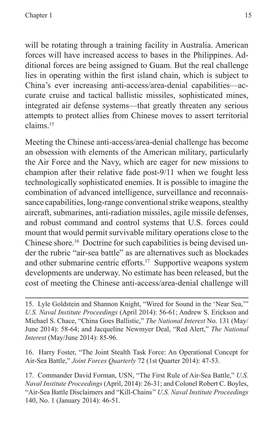will be rotating through a training facility in Australia. American forces will have increased access to bases in the Philippines. Additional forces are being assigned to Guam. But the real challenge lies in operating within the first island chain, which is subject to China's ever increasing anti-access/area-denial capabilities—accurate cruise and tactical ballistic missiles, sophisticated mines, integrated air defense systems—that greatly threaten any serious attempts to protect allies from Chinese moves to assert territorial claims.15

Meeting the Chinese anti-access/area-denial challenge has become an obsession with elements of the American military, particularly the Air Force and the Navy, which are eager for new missions to champion after their relative fade post-9/11 when we fought less technologically sophisticated enemies. It is possible to imagine the combination of advanced intelligence, surveillance and reconnaissance capabilities, long-range conventional strike weapons, stealthy aircraft, submarines, anti-radiation missiles, agile missile defenses, and robust command and control systems that U.S. forces could mount that would permit survivable military operations close to the Chinese shore.<sup>16</sup> Doctrine for such capabilities is being devised under the rubric "air-sea battle" as are alternatives such as blockades and other submarine centric efforts.<sup>17</sup> Supportive weapons system developments are underway. No estimate has been released, but the cost of meeting the Chinese anti-access/area-denial challenge will

16. Harry Foster, "The Joint Stealth Task Force: An Operational Concept for Air-Sea Battle," *Joint Forces Quarterly* 72 (1st Quarter 2014): 47-53.

17. Commander David Forman, USN, "The First Rule of Air-Sea Battle," *U.S. Naval Institute Proceedings* (April, 2014): 26-31; and Colonel Robert C. Boyles, "Air-Sea Battle Disclaimers and "Kill-Chains'' *U.S. Naval Institute Proceedings* 140, No. 1 (January 2014): 46-51.

<sup>15.</sup> Lyle Goldstein and Shannon Knight, "Wired for Sound in the 'Near Sea,'" *U.S. Naval Institute Proceedings* (April 2014): 56-61; Andrew S. Erickson and Michael S. Chace, "China Goes Ballistic," *The National Interest* No. 131 (May/ June 2014): 58-64; and Jacqueline Newmyer Deal, "Red Alert," *The National Interest* (May/June 2014): 85-96.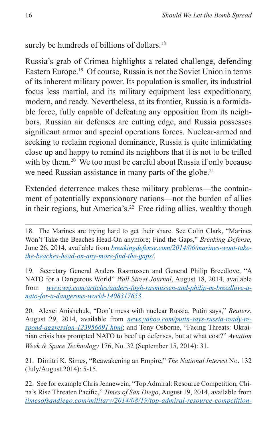surely be hundreds of billions of dollars.<sup>18</sup>

Russia's grab of Crimea highlights a related challenge, defending Eastern Europe.<sup>19</sup> Of course, Russia is not the Soviet Union in terms of its inherent military power. Its population is smaller, its industrial focus less martial, and its military equipment less expeditionary, modern, and ready. Nevertheless, at its frontier, Russia is a formidable force, fully capable of defeating any opposition from its neighbors. Russian air defenses are cutting edge, and Russia possesses significant armor and special operations forces. Nuclear-armed and seeking to reclaim regional dominance, Russia is quite intimidating close up and happy to remind its neighbors that it is not to be trifled with by them.<sup>20</sup> We too must be careful about Russia if only because we need Russian assistance in many parts of the globe.<sup>21</sup>

Extended deterrence makes these military problems—the containment of potentially expansionary nations—not the burden of allies in their regions, but America's.<sup>22</sup> Free riding allies, wealthy though

19. Secretary General Anders Rasmussen and General Philip Breedlove, "A NATO for a Dangerous World" *Wall Street Journal*, August 18, 2014, available from *[www.wsj.com/articles/anders-fogh-rasmussen-and-philip-m-breedlove-a](www.wsj.com/articles/anders-fogh-rasmussen-and-philip-m-breedlove-a-nato-for-a-dangerous-world-1408317653)[nato-for-a-dangerous-world-1408317653](www.wsj.com/articles/anders-fogh-rasmussen-and-philip-m-breedlove-a-nato-for-a-dangerous-world-1408317653).*

20. Alexei Anishchuk, "Don't mess with nuclear Russia, Putin says," *Reuters*, August 29, 2014, available from *[news.yahoo.com/putin-says-russia-ready-re](news.yahoo.com/putin-says-russia-ready-respond-aggression-123956691.html)[spond-aggression-123956691.html](news.yahoo.com/putin-says-russia-ready-respond-aggression-123956691.html)*; and Tony Osborne, "Facing Threats: Ukrainian crisis has prompted NATO to beef up defenses, but at what cost?" *Aviation Week & Space Technology* 176, No. 32 (September 15, 2014): 31.

21. Dimitri K. Simes, "Reawakening an Empire," *The National Interest* No. 132 (July/August 2014): 5-15.

22. See for example Chris Jennewein, "Top Admiral: Resource Competition, China's Rise Threaten Pacific," *Times of San Diego*, August 19, 2014, available from *[timesofsandiego.com/military/2014/08/19/top-admiral-resource-competition-](timesofsandiego.com/military/2014/08/19/top-admiral-resource-competition-chinas-rise-threaten-pacific)*

<sup>18.</sup> The Marines are trying hard to get their share. See Colin Clark, "Marines Won't Take the Beaches Head-On anymore; Find the Gaps," *Breaking Defense*, June 26, 2014, available from *[breakingdefense.com/2014/06/marines-wont-take](breakingdefense.com/2014/06/marines-wont-take-the-beaches-head-on-any-more-find-the-gaps/)[the-beaches-head-on-any-more-find-the-gaps/](breakingdefense.com/2014/06/marines-wont-take-the-beaches-head-on-any-more-find-the-gaps/)*.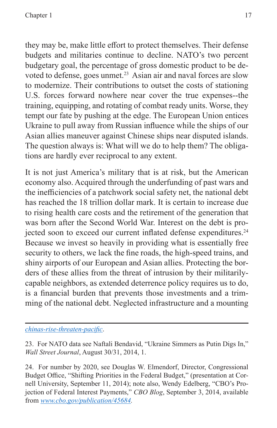they may be, make little effort to protect themselves. Their defense budgets and militaries continue to decline. NATO's two percent budgetary goal, the percentage of gross domestic product to be devoted to defense, goes unmet.<sup>23</sup> Asian air and naval forces are slow to modernize. Their contributions to outset the costs of stationing U.S. forces forward nowhere near cover the true expenses--the training, equipping, and rotating of combat ready units. Worse, they tempt our fate by pushing at the edge. The European Union entices Ukraine to pull away from Russian influence while the ships of our Asian allies maneuver against Chinese ships near disputed islands. The question always is: What will we do to help them? The obligations are hardly ever reciprocal to any extent.

It is not just America's military that is at risk, but the American economy also. Acquired through the underfunding of past wars and the inefficiencies of a patchwork social safety net, the national debt has reached the 18 trillion dollar mark. It is certain to increase due to rising health care costs and the retirement of the generation that was born after the Second World War. Interest on the debt is projected soon to exceed our current inflated defense expenditures.<sup>24</sup> Because we invest so heavily in providing what is essentially free security to others, we lack the fine roads, the high-speed trains, and shiny airports of our European and Asian allies. Protecting the borders of these allies from the threat of intrusion by their militarilycapable neighbors, as extended deterrence policy requires us to do, is a financial burden that prevents those investments and a trimming of the national debt. Neglected infrastructure and a mounting

*[chinas-rise-threaten-pacific](timesofsandiego.com/military/2014/08/19/top-admiral-resource-competition-chinas-rise-threaten-pacific)*.

<sup>23.</sup> For NATO data see Naftali Bendavid, "Ukraine Simmers as Putin Digs In," *Wall Street Journal*, August 30/31, 2014, 1.

<sup>24.</sup> For number by 2020, see Douglas W. Elmendorf, Director, Congressional Budget Office, "Shifting Priorities in the Federal Budget," (presentation at Cornell University, September 11, 2014); note also, Wendy Edelberg, "CBO's Projection of Federal Interest Payments," *CBO Blog*, September 3, 2014, available from *<www.cbo.gov/publication/45684>.*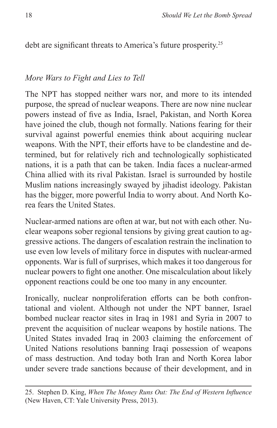debt are significant threats to America's future prosperity.<sup>25</sup>

#### *More Wars to Fight and Lies to Tell*

The NPT has stopped neither wars nor, and more to its intended purpose, the spread of nuclear weapons. There are now nine nuclear powers instead of five as India, Israel, Pakistan, and North Korea have joined the club, though not formally. Nations fearing for their survival against powerful enemies think about acquiring nuclear weapons. With the NPT, their efforts have to be clandestine and determined, but for relatively rich and technologically sophisticated nations, it is a path that can be taken. India faces a nuclear-armed China allied with its rival Pakistan. Israel is surrounded by hostile Muslim nations increasingly swayed by jihadist ideology. Pakistan has the bigger, more powerful India to worry about. And North Korea fears the United States.

Nuclear-armed nations are often at war, but not with each other. Nuclear weapons sober regional tensions by giving great caution to aggressive actions. The dangers of escalation restrain the inclination to use even low levels of military force in disputes with nuclear-armed opponents. War is full of surprises, which makes it too dangerous for nuclear powers to fight one another. One miscalculation about likely opponent reactions could be one too many in any encounter.

Ironically, nuclear nonproliferation efforts can be both confrontational and violent. Although not under the NPT banner, Israel bombed nuclear reactor sites in Iraq in 1981 and Syria in 2007 to prevent the acquisition of nuclear weapons by hostile nations. The United States invaded Iraq in 2003 claiming the enforcement of United Nations resolutions banning Iraqi possession of weapons of mass destruction. And today both Iran and North Korea labor under severe trade sanctions because of their development, and in

<sup>25.</sup> Stephen D. King, *When The Money Runs Out: The End of Western Influence* (New Haven, CT: Yale University Press, 2013).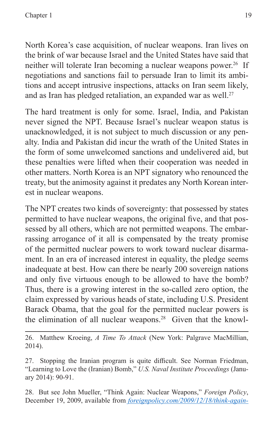North Korea's case acquisition, of nuclear weapons. Iran lives on the brink of war because Israel and the United States have said that neither will tolerate Iran becoming a nuclear weapons power.<sup>26</sup> If negotiations and sanctions fail to persuade Iran to limit its ambitions and accept intrusive inspections, attacks on Iran seem likely, and as Iran has pledged retaliation, an expanded war as well.<sup>27</sup>

The hard treatment is only for some. Israel, India, and Pakistan never signed the NPT. Because Israel's nuclear weapon status is unacknowledged, it is not subject to much discussion or any penalty. India and Pakistan did incur the wrath of the United States in the form of some unwelcomed sanctions and undelivered aid, but these penalties were lifted when their cooperation was needed in other matters. North Korea is an NPT signatory who renounced the treaty, but the animosity against it predates any North Korean interest in nuclear weapons.

The NPT creates two kinds of sovereignty: that possessed by states permitted to have nuclear weapons, the original five, and that possessed by all others, which are not permitted weapons. The embarrassing arrogance of it all is compensated by the treaty promise of the permitted nuclear powers to work toward nuclear disarmament. In an era of increased interest in equality, the pledge seems inadequate at best. How can there be nearly 200 sovereign nations and only five virtuous enough to be allowed to have the bomb? Thus, there is a growing interest in the so-called zero option, the claim expressed by various heads of state, including U.S. President Barack Obama, that the goal for the permitted nuclear powers is the elimination of all nuclear weapons.<sup>28</sup> Given that the knowl-

26. Matthew Kroeing, *A Time To Attack* (New York: Palgrave MacMillian, 2014).

28. But see John Mueller, "Think Again: Nuclear Weapons," *Foreign Policy*, December 19, 2009, available from *[foreignpolicy.com/2009/12/18/think-again-](foreignpolicy.com/2009/12/18/think-again-nuclear-weapons/)*

<sup>27.</sup> Stopping the Iranian program is quite difficult. See Norman Friedman, "Learning to Love the (Iranian) Bomb," *U.S. Naval Institute Proceedings* (January 2014): 90-91.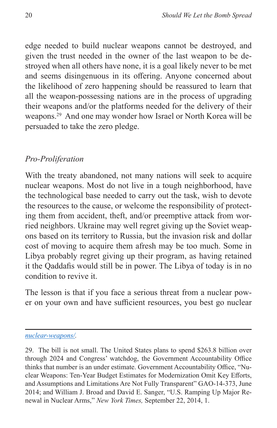edge needed to build nuclear weapons cannot be destroyed, and given the trust needed in the owner of the last weapon to be destroyed when all others have none, it is a goal likely never to be met and seems disingenuous in its offering. Anyone concerned about the likelihood of zero happening should be reassured to learn that all the weapon-possessing nations are in the process of upgrading their weapons and/or the platforms needed for the delivery of their weapons.29 And one may wonder how Israel or North Korea will be persuaded to take the zero pledge.

# *Pro-Proliferation*

With the treaty abandoned, not many nations will seek to acquire nuclear weapons. Most do not live in a tough neighborhood, have the technological base needed to carry out the task, wish to devote the resources to the cause, or welcome the responsibility of protecting them from accident, theft, and/or preemptive attack from worried neighbors. Ukraine may well regret giving up the Soviet weapons based on its territory to Russia, but the invasion risk and dollar cost of moving to acquire them afresh may be too much. Some in Libya probably regret giving up their program, as having retained it the Qaddafis would still be in power. The Libya of today is in no condition to revive it.

The lesson is that if you face a serious threat from a nuclear power on your own and have sufficient resources, you best go nuclear

*[nuclear-weapons/](foreignpolicy.com/2009/12/18/think-again-nuclear-weapons/).*

<sup>29.</sup> The bill is not small. The United States plans to spend \$263.8 billion over through 2024 and Congress' watchdog, the Government Accountability Office thinks that number is an under estimate. Government Accountability Office, "Nuclear Weapons: Ten-Year Budget Estimates for Modernization Omit Key Efforts, and Assumptions and Limitations Are Not Fully Transparent" GAO-14-373, June 2014; and William J. Broad and David E. Sanger, "U.S. Ramping Up Major Renewal in Nuclear Arms," *New York Times,* September 22, 2014, 1.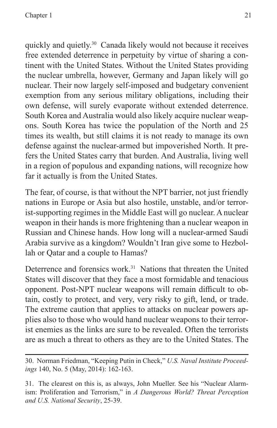quickly and quietly.<sup>30</sup> Canada likely would not because it receives free extended deterrence in perpetuity by virtue of sharing a continent with the United States. Without the United States providing the nuclear umbrella, however, Germany and Japan likely will go nuclear. Their now largely self-imposed and budgetary convenient exemption from any serious military obligations, including their own defense, will surely evaporate without extended deterrence. South Korea and Australia would also likely acquire nuclear weapons. South Korea has twice the population of the North and 25 times its wealth, but still claims it is not ready to manage its own defense against the nuclear-armed but impoverished North. It prefers the United States carry that burden. And Australia, living well in a region of populous and expanding nations, will recognize how far it actually is from the United States.

The fear, of course, is that without the NPT barrier, not just friendly nations in Europe or Asia but also hostile, unstable, and/or terrorist-supporting regimes in the Middle East will go nuclear. A nuclear weapon in their hands is more frightening than a nuclear weapon in Russian and Chinese hands. How long will a nuclear-armed Saudi Arabia survive as a kingdom? Wouldn't Iran give some to Hezbollah or Qatar and a couple to Hamas?

Deterrence and forensics work.<sup>31</sup> Nations that threaten the United States will discover that they face a most formidable and tenacious opponent. Post-NPT nuclear weapons will remain difficult to obtain, costly to protect, and very, very risky to gift, lend, or trade. The extreme caution that applies to attacks on nuclear powers applies also to those who would hand nuclear weapons to their terrorist enemies as the links are sure to be revealed. Often the terrorists are as much a threat to others as they are to the United States. The

<sup>30.</sup> Norman Friedman, "Keeping Putin in Check," *U.S. Naval Institute Proceedings* 140, No. 5 (May, 2014): 162-163.

<sup>31.</sup> The clearest on this is, as always, John Mueller. See his "Nuclear Alarmism: Proliferation and Terrorism," in *A Dangerous World? Threat Perception and U.S. National Security*, 25-39.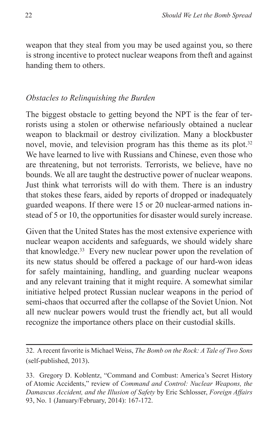weapon that they steal from you may be used against you, so there is strong incentive to protect nuclear weapons from theft and against handing them to others.

## *Obstacles to Relinquishing the Burden*

The biggest obstacle to getting beyond the NPT is the fear of terrorists using a stolen or otherwise nefariously obtained a nuclear weapon to blackmail or destroy civilization. Many a blockbuster novel, movie, and television program has this theme as its plot.<sup>32</sup> We have learned to live with Russians and Chinese, even those who are threatening, but not terrorists. Terrorists, we believe, have no bounds. We all are taught the destructive power of nuclear weapons. Just think what terrorists will do with them. There is an industry that stokes these fears, aided by reports of dropped or inadequately guarded weapons. If there were 15 or 20 nuclear-armed nations instead of 5 or 10, the opportunities for disaster would surely increase.

Given that the United States has the most extensive experience with nuclear weapon accidents and safeguards, we should widely share that knowledge.33 Every new nuclear power upon the revelation of its new status should be offered a package of our hard-won ideas for safely maintaining, handling, and guarding nuclear weapons and any relevant training that it might require. A somewhat similar initiative helped protect Russian nuclear weapons in the period of semi-chaos that occurred after the collapse of the Soviet Union. Not all new nuclear powers would trust the friendly act, but all would recognize the importance others place on their custodial skills.

<sup>32.</sup> A recent favorite is Michael Weiss, *The Bomb on the Rock: A Tale of Two Sons* (self-published, 2013).

<sup>33.</sup> Gregory D. Koblentz, "Command and Combust: America's Secret History of Atomic Accidents," review of *Command and Control: Nuclear Weapons, the Damascus Accident, and the Illusion of Safety* by Eric Schlosser, *Foreign Affairs* 93, No. 1 (January/February, 2014): 167-172.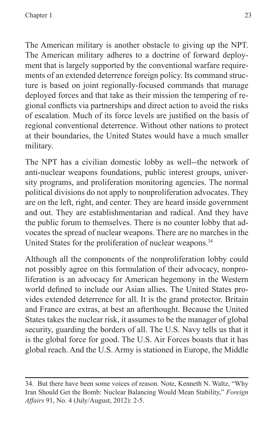The American military is another obstacle to giving up the NPT. The American military adheres to a doctrine of forward deployment that is largely supported by the conventional warfare requirements of an extended deterrence foreign policy. Its command structure is based on joint regionally-focused commands that manage deployed forces and that take as their mission the tempering of regional conflicts via partnerships and direct action to avoid the risks of escalation. Much of its force levels are justified on the basis of regional conventional deterrence. Without other nations to protect at their boundaries, the United States would have a much smaller military.

The NPT has a civilian domestic lobby as well--the network of anti-nuclear weapons foundations, public interest groups, university programs, and proliferation monitoring agencies. The normal political divisions do not apply to nonproliferation advocates. They are on the left, right, and center. They are heard inside government and out. They are establishmentarian and radical. And they have the public forum to themselves. There is no counter lobby that advocates the spread of nuclear weapons. There are no marches in the United States for the proliferation of nuclear weapons.<sup>34</sup>

Although all the components of the nonproliferation lobby could not possibly agree on this formulation of their advocacy, nonproliferation is an advocacy for American hegemony in the Western world defined to include our Asian allies. The United States provides extended deterrence for all. It is the grand protector. Britain and France are extras, at best an afterthought. Because the United States takes the nuclear risk, it assumes to be the manager of global security, guarding the borders of all. The U.S. Navy tells us that it is the global force for good. The U.S. Air Forces boasts that it has global reach. And the U.S. Army is stationed in Europe, the Middle

<sup>34.</sup> But there have been some voices of reason. Note, Kenneth N. Waltz, "Why Iran Should Get the Bomb: Nuclear Balancing Would Mean Stability," *Foreign Affairs* 91, No. 4 (July/August, 2012): 2-5.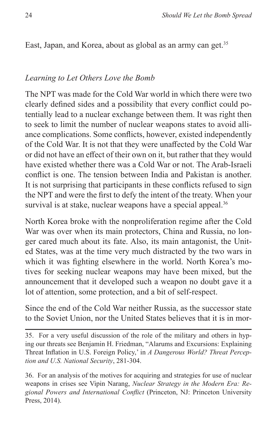East, Japan, and Korea, about as global as an army can get.<sup>35</sup>

#### *Learning to Let Others Love the Bomb*

The NPT was made for the Cold War world in which there were two clearly defined sides and a possibility that every conflict could potentially lead to a nuclear exchange between them. It was right then to seek to limit the number of nuclear weapons states to avoid alliance complications. Some conflicts, however, existed independently of the Cold War. It is not that they were unaffected by the Cold War or did not have an effect of their own on it, but rather that they would have existed whether there was a Cold War or not. The Arab-Israeli conflict is one. The tension between India and Pakistan is another. It is not surprising that participants in these conflicts refused to sign the NPT and were the first to defy the intent of the treaty. When your survival is at stake, nuclear weapons have a special appeal.<sup>36</sup>

North Korea broke with the nonproliferation regime after the Cold War was over when its main protectors, China and Russia, no longer cared much about its fate. Also, its main antagonist, the United States, was at the time very much distracted by the two wars in which it was fighting elsewhere in the world. North Korea's motives for seeking nuclear weapons may have been mixed, but the announcement that it developed such a weapon no doubt gave it a lot of attention, some protection, and a bit of self-respect.

Since the end of the Cold War neither Russia, as the successor state to the Soviet Union, nor the United States believes that it is in mor-

35. For a very useful discussion of the role of the military and others in hyping our threats see Benjamin H. Friedman, "Alarums and Excursions: Explaining Threat Inflation in U.S. Foreign Policy,' in *A Dangerous World? Threat Perception and U.S. National Security*, 281-304.

36. For an analysis of the motives for acquiring and strategies for use of nuclear weapons in crises see Vipin Narang, *Nuclear Strategy in the Modern Era: Regional Powers and International Conflict* (Princeton, NJ: Princeton University Press, 2014).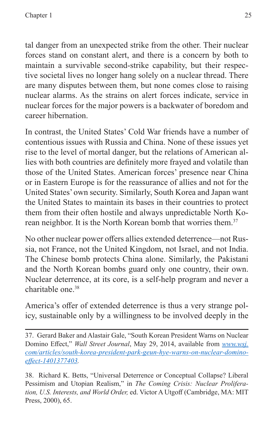tal danger from an unexpected strike from the other. Their nuclear forces stand on constant alert, and there is a concern by both to maintain a survivable second-strike capability, but their respective societal lives no longer hang solely on a nuclear thread. There are many disputes between them, but none comes close to raising nuclear alarms. As the strains on alert forces indicate, service in nuclear forces for the major powers is a backwater of boredom and career hibernation.

In contrast, the United States' Cold War friends have a number of contentious issues with Russia and China. None of these issues yet rise to the level of mortal danger, but the relations of American allies with both countries are definitely more frayed and volatile than those of the United States. American forces' presence near China or in Eastern Europe is for the reassurance of allies and not for the United States' own security. Similarly, South Korea and Japan want the United States to maintain its bases in their countries to protect them from their often hostile and always unpredictable North Korean neighbor. It is the North Korean bomb that worries them.<sup>37</sup>

No other nuclear power offers allies extended deterrence—not Russia, not France, not the United Kingdom, not Israel, and not India. The Chinese bomb protects China alone. Similarly, the Pakistani and the North Korean bombs guard only one country, their own. Nuclear deterrence, at its core, is a self-help program and never a charitable one.38

America's offer of extended deterrence is thus a very strange policy, sustainable only by a willingness to be involved deeply in the

37. Gerard Baker and Alastair Gale, "South Korean President Warns on Nuclear Domino Effect," *Wall Street Journal*, May 29, 2014, available from *[www.wsj.](www.wsj.com/articles/south-korea-president-park-geun-hye-warns-on-nuclear-domino-effect-1401377403) [com/articles/south-korea-president-park-geun-hye-warns-on-nuclear-domino](www.wsj.com/articles/south-korea-president-park-geun-hye-warns-on-nuclear-domino-effect-1401377403)[effect-1401377403](www.wsj.com/articles/south-korea-president-park-geun-hye-warns-on-nuclear-domino-effect-1401377403).*

38. Richard K. Betts, "Universal Deterrence or Conceptual Collapse? Liberal Pessimism and Utopian Realism," in *The Coming Crisis: Nuclear Proliferation, U.S. Interests, and World Order,* ed. Victor A Utgoff (Cambridge, MA: MIT Press, 2000), 65.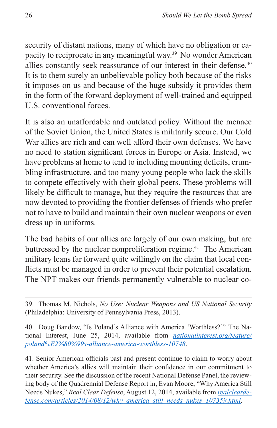security of distant nations, many of which have no obligation or capacity to reciprocate in any meaningful way.39 No wonder American allies constantly seek reassurance of our interest in their defense.<sup>40</sup> It is to them surely an unbelievable policy both because of the risks it imposes on us and because of the huge subsidy it provides them in the form of the forward deployment of well-trained and equipped U.S. conventional forces.

It is also an unaffordable and outdated policy. Without the menace of the Soviet Union, the United States is militarily secure. Our Cold War allies are rich and can well afford their own defenses. We have no need to station significant forces in Europe or Asia. Instead, we have problems at home to tend to including mounting deficits, crumbling infrastructure, and too many young people who lack the skills to compete effectively with their global peers. These problems will likely be difficult to manage, but they require the resources that are now devoted to providing the frontier defenses of friends who prefer not to have to build and maintain their own nuclear weapons or even dress up in uniforms.

The bad habits of our allies are largely of our own making, but are buttressed by the nuclear nonproliferation regime.<sup>41</sup> The American military leans far forward quite willingly on the claim that local conflicts must be managed in order to prevent their potential escalation. The NPT makes our friends permanently vulnerable to nuclear co-

<sup>39.</sup> Thomas M. Nichols, *No Use: Nuclear Weapons and US National Security* (Philadelphia: University of Pennsylvania Press, 2013).

<sup>40.</sup> Doug Bandow, "Is Poland's Alliance with America 'Worthless?'" The National Interest, June 25, 2014, available from *[nationalinterest.org/feature/](nationalinterest.org/feature/poland%E2%80%99s-alliance-america-worthless-10748) [poland%E2%80%99s-alliance-america-worthless-10748](nationalinterest.org/feature/poland%E2%80%99s-alliance-america-worthless-10748)*.

<sup>41.</sup> Senior American officials past and present continue to claim to worry about whether America's allies will maintain their confidence in our commitment to their security. See the discussion of the recent National Defense Panel, the reviewing body of the Quadrennial Defense Report in, Evan Moore, "Why America Still Needs Nukes," *Real Clear Defense*, August 12, 2014, available from *[realclearde](realcleardefense.com/articles/2014/08/12/why_america_still_needs_nukes_107359.html)[fense.com/articles/2014/08/12/why\\_america\\_still\\_needs\\_nukes\\_107359.html](realcleardefense.com/articles/2014/08/12/why_america_still_needs_nukes_107359.html)*.